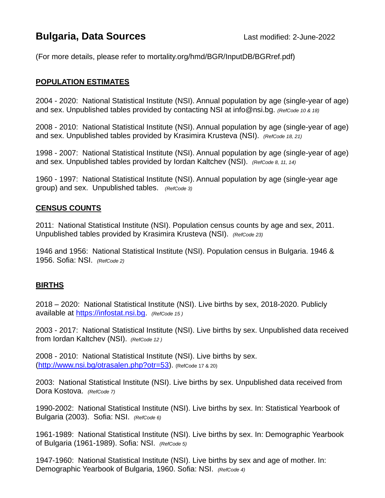# **Bulgaria, Data Sources Last modified: 2-June-2022**

(For more details, please refer to mortality.org/hmd/BGR/InputDB/BGRref.pdf)

#### **POPULATION ESTIMATES**

2004 - 2020: National Statistical Institute (NSI). Annual population by age (single-year of age) and sex. Unpublished tables provided by contacting NSI at info@nsi.bg. *(RefCode 10 & 18)*

2008 - 2010: National Statistical Institute (NSI). Annual population by age (single-year of age) and sex. Unpublished tables provided by Krasimira Krusteva (NSI). *(RefCode 18, 21)*

1998 - 2007: National Statistical Institute (NSI). Annual population by age (single-year of age) and sex. Unpublished tables provided by Iordan Kaltchev (NSI). *(RefCode 8, 11, 14)*

1960 - 1997: National Statistical Institute (NSI). Annual population by age (single-year age group) and sex. Unpublished tables. *(RefCode 3)*

### **CENSUS COUNTS**

2011: National Statistical Institute (NSI). Population census counts by age and sex, 2011. Unpublished tables provided by Krasimira Krusteva (NSI). *(RefCode 23)*

1946 and 1956: National Statistical Institute (NSI). Population census in Bulgaria. 1946 & 1956. Sofia: NSI. *(RefCode 2)*

### **BIRTHS**

2018 – 2020: National Statistical Institute (NSI). Live births by sex, 2018-2020. Publicly available at [https://infostat.nsi.bg.](https://infostat.nsi.bg/) *(RefCode 15 )*

2003 - 2017: National Statistical Institute (NSI). Live births by sex. Unpublished data received from Iordan Kaltchev (NSI). *(RefCode 12 )*

2008 - 2010: National Statistical Institute (NSI). Live births by sex. (http://www.nsi.bg/otrasalen.php?otr=53). (RefCode 17 & 20)

2003: National Statistical Institute (NSI). Live births by sex. Unpublished data received from Dora Kostova. *(RefCode 7)*

1990-2002: National Statistical Institute (NSI). Live births by sex. In: Statistical Yearbook of Bulgaria (2003). Sofia: NSI. *(RefCode 6)*

1961-1989: National Statistical Institute (NSI). Live births by sex. In: Demographic Yearbook of Bulgaria (1961-1989). Sofia: NSI. *(RefCode 5)*

1947-1960: National Statistical Institute (NSI). Live births by sex and age of mother. In: Demographic Yearbook of Bulgaria, 1960. Sofia: NSI. *(RefCode 4)*